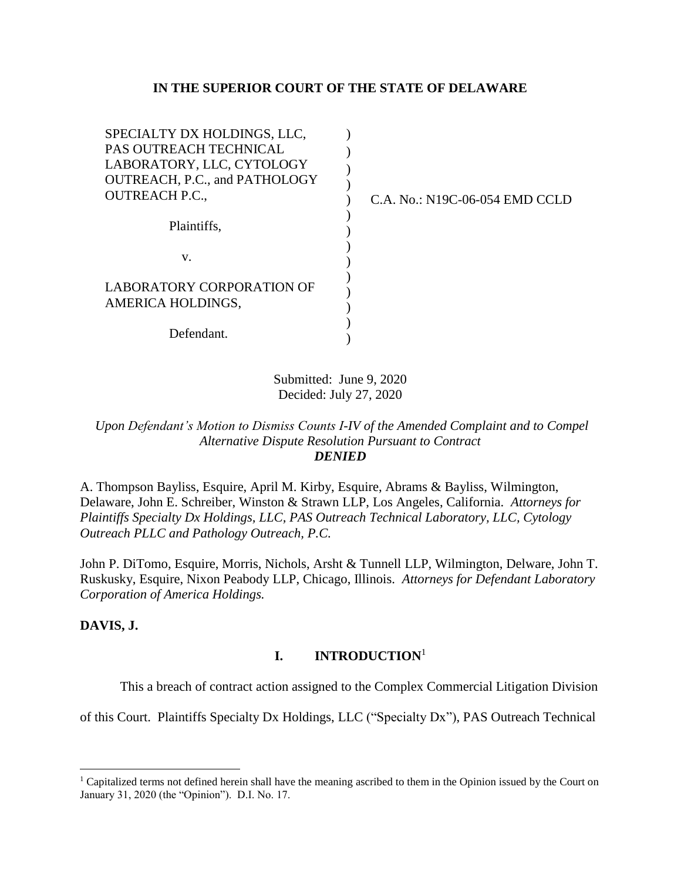## **IN THE SUPERIOR COURT OF THE STATE OF DELAWARE**

| SPECIALTY DX HOLDINGS, LLC,      |  |
|----------------------------------|--|
| <b>PAS OUTREACH TECHNICAL</b>    |  |
| LABORATORY, LLC, CYTOLOGY        |  |
| OUTREACH, P.C., and PATHOLOGY    |  |
| <b>OUTREACH P.C.,</b>            |  |
| Plaintiffs.                      |  |
| V.                               |  |
|                                  |  |
| <b>LABORATORY CORPORATION OF</b> |  |
| AMERICA HOLDINGS,                |  |
|                                  |  |
| Defendant.                       |  |

) C.A. No.: N19C-06-054 EMD CCLD

Submitted: June 9, 2020 Decided: July 27, 2020

*Upon Defendant's Motion to Dismiss Counts I-IV of the Amended Complaint and to Compel Alternative Dispute Resolution Pursuant to Contract DENIED*

A. Thompson Bayliss, Esquire, April M. Kirby, Esquire, Abrams & Bayliss, Wilmington, Delaware, John E. Schreiber, Winston & Strawn LLP, Los Angeles, California. *Attorneys for Plaintiffs Specialty Dx Holdings, LLC, PAS Outreach Technical Laboratory, LLC, Cytology Outreach PLLC and Pathology Outreach, P.C.*

John P. DiTomo, Esquire, Morris, Nichols, Arsht & Tunnell LLP, Wilmington, Delware, John T. Ruskusky, Esquire, Nixon Peabody LLP, Chicago, Illinois. *Attorneys for Defendant Laboratory Corporation of America Holdings.* 

## **DAVIS, J.**

 $\overline{a}$ 

# **I. INTRODUCTION**<sup>1</sup>

This a breach of contract action assigned to the Complex Commercial Litigation Division

of this Court. Plaintiffs Specialty Dx Holdings, LLC ("Specialty Dx"), PAS Outreach Technical

<sup>&</sup>lt;sup>1</sup> Capitalized terms not defined herein shall have the meaning ascribed to them in the Opinion issued by the Court on January 31, 2020 (the "Opinion"). D.I. No. 17.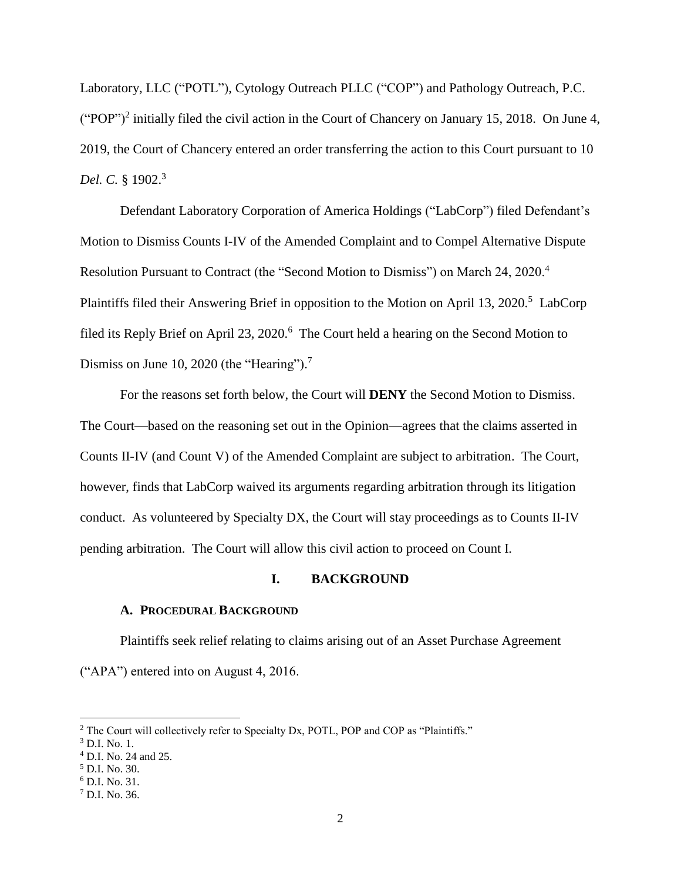Laboratory, LLC ("POTL"), Cytology Outreach PLLC ("COP") and Pathology Outreach, P.C.  $("POP")^2$  initially filed the civil action in the Court of Chancery on January 15, 2018. On June 4, 2019, the Court of Chancery entered an order transferring the action to this Court pursuant to 10 *Del. C.* § 1902. 3

Defendant Laboratory Corporation of America Holdings ("LabCorp") filed Defendant's Motion to Dismiss Counts I-IV of the Amended Complaint and to Compel Alternative Dispute Resolution Pursuant to Contract (the "Second Motion to Dismiss") on March 24, 2020.<sup>4</sup> Plaintiffs filed their Answering Brief in opposition to the Motion on April 13, 2020.<sup>5</sup> LabCorp filed its Reply Brief on April 23, 2020.<sup>6</sup> The Court held a hearing on the Second Motion to Dismiss on June 10, 2020 (the "Hearing").<sup>7</sup>

For the reasons set forth below, the Court will **DENY** the Second Motion to Dismiss. The Court—based on the reasoning set out in the Opinion—agrees that the claims asserted in Counts II-IV (and Count V) of the Amended Complaint are subject to arbitration. The Court, however, finds that LabCorp waived its arguments regarding arbitration through its litigation conduct. As volunteered by Specialty DX, the Court will stay proceedings as to Counts II-IV pending arbitration. The Court will allow this civil action to proceed on Count I.

#### **I. BACKGROUND**

#### **A. PROCEDURAL BACKGROUND**

Plaintiffs seek relief relating to claims arising out of an Asset Purchase Agreement ("APA") entered into on August 4, 2016.

 $\overline{a}$ 

<sup>6</sup> D.I. No. 31.

<sup>&</sup>lt;sup>2</sup> The Court will collectively refer to Specialty Dx, POTL, POP and COP as "Plaintiffs."

<sup>3</sup> D.I. No. 1.

<sup>4</sup> D.I. No. 24 and 25.

<sup>5</sup> D.I. No. 30.

<sup>7</sup> D.I. No. 36.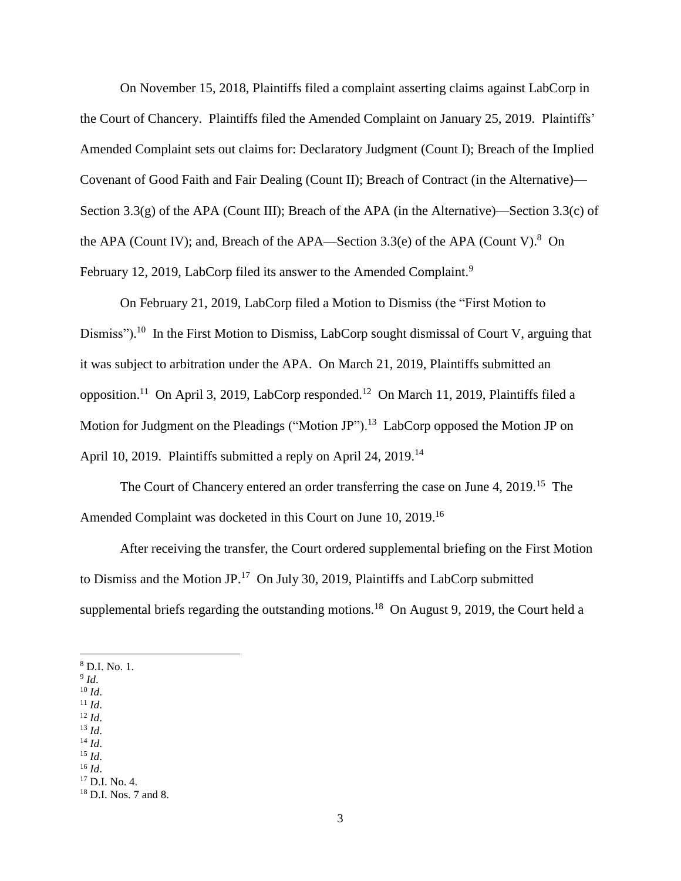On November 15, 2018, Plaintiffs filed a complaint asserting claims against LabCorp in the Court of Chancery. Plaintiffs filed the Amended Complaint on January 25, 2019. Plaintiffs' Amended Complaint sets out claims for: Declaratory Judgment (Count I); Breach of the Implied Covenant of Good Faith and Fair Dealing (Count II); Breach of Contract (in the Alternative)— Section 3.3(g) of the APA (Count III); Breach of the APA (in the Alternative)—Section 3.3(c) of the APA (Count IV); and, Breach of the APA—Section  $3.3(e)$  of the APA (Count V).<sup>8</sup> On February 12, 2019, LabCorp filed its answer to the Amended Complaint.<sup>9</sup>

On February 21, 2019, LabCorp filed a Motion to Dismiss (the "First Motion to Dismiss").<sup>10</sup> In the First Motion to Dismiss, LabCorp sought dismissal of Court V, arguing that it was subject to arbitration under the APA. On March 21, 2019, Plaintiffs submitted an opposition.<sup>11</sup> On April 3, 2019, LabCorp responded.<sup>12</sup> On March 11, 2019, Plaintiffs filed a Motion for Judgment on the Pleadings ("Motion JP").<sup>13</sup> LabCorp opposed the Motion JP on April 10, 2019. Plaintiffs submitted a reply on April 24, 2019.<sup>14</sup>

The Court of Chancery entered an order transferring the case on June 4, 2019.<sup>15</sup> The Amended Complaint was docketed in this Court on June 10, 2019.<sup>16</sup>

After receiving the transfer, the Court ordered supplemental briefing on the First Motion to Dismiss and the Motion JP.<sup>17</sup> On July 30, 2019, Plaintiffs and LabCorp submitted supplemental briefs regarding the outstanding motions.<sup>18</sup> On August 9, 2019, the Court held a

<sup>10</sup> *Id*. <sup>11</sup> *Id*.

 $\overline{a}$ 

 $^{13}$  *Id.* 

<sup>14</sup> *Id*.

<sup>15</sup> *Id*.

<sup>16</sup> *Id*.

<sup>8</sup> D.I. No. 1.

<sup>9</sup> *Id*.

<sup>12</sup> *Id*.

<sup>17</sup> D.I. No. 4. <sup>18</sup> D.I. Nos. 7 and 8.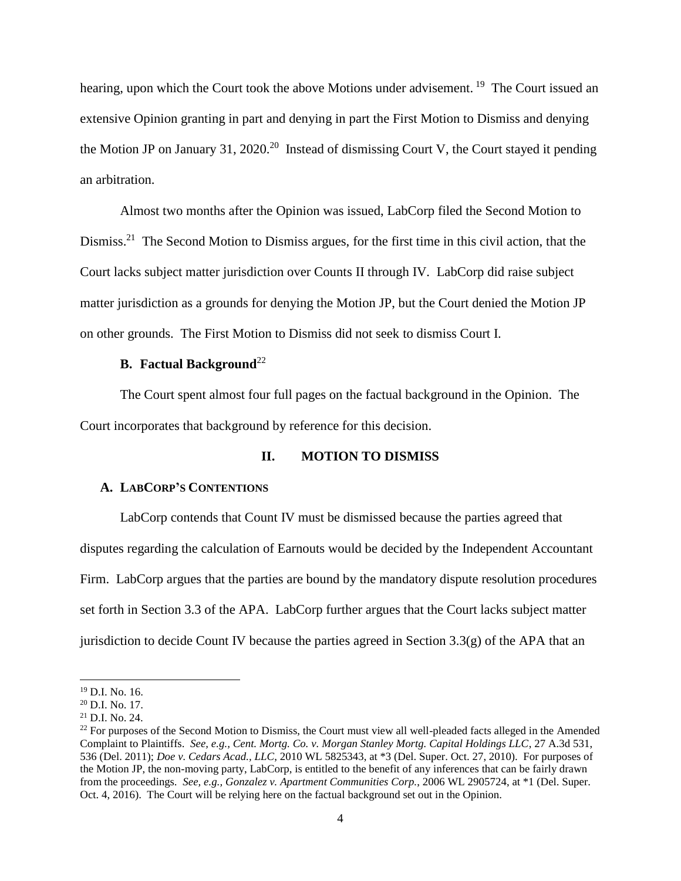hearing, upon which the Court took the above Motions under advisement. <sup>19</sup> The Court issued an extensive Opinion granting in part and denying in part the First Motion to Dismiss and denying the Motion JP on January 31, 2020.<sup>20</sup> Instead of dismissing Court V, the Court stayed it pending an arbitration.

Almost two months after the Opinion was issued, LabCorp filed the Second Motion to Dismiss.<sup>21</sup> The Second Motion to Dismiss argues, for the first time in this civil action, that the Court lacks subject matter jurisdiction over Counts II through IV. LabCorp did raise subject matter jurisdiction as a grounds for denying the Motion JP, but the Court denied the Motion JP on other grounds. The First Motion to Dismiss did not seek to dismiss Court I.

## **B.** Factual Background<sup>22</sup>

The Court spent almost four full pages on the factual background in the Opinion. The Court incorporates that background by reference for this decision.

### **II. MOTION TO DISMISS**

#### **A. LABCORP'S CONTENTIONS**

LabCorp contends that Count IV must be dismissed because the parties agreed that disputes regarding the calculation of Earnouts would be decided by the Independent Accountant Firm. LabCorp argues that the parties are bound by the mandatory dispute resolution procedures set forth in Section 3.3 of the APA. LabCorp further argues that the Court lacks subject matter jurisdiction to decide Count IV because the parties agreed in Section  $3.3(g)$  of the APA that an

 $\overline{a}$ 

<sup>19</sup> D.I. No. 16.

<sup>20</sup> D.I. No. 17.

<sup>21</sup> D.I. No. 24.

 $^{22}$  For purposes of the Second Motion to Dismiss, the Court must view all well-pleaded facts alleged in the Amended Complaint to Plaintiffs. *See, e.g., Cent. Mortg. Co. v. Morgan Stanley Mortg. Capital Holdings LLC*, 27 A.3d 531, 536 (Del. 2011); *Doe v. Cedars Acad., LLC*, 2010 WL 5825343, at \*3 (Del. Super. Oct. 27, 2010). For purposes of the Motion JP, the non-moving party, LabCorp, is entitled to the benefit of any inferences that can be fairly drawn from the proceedings. *See, e.g., Gonzalez v. Apartment Communities Corp.*, 2006 WL 2905724, at \*1 (Del. Super. Oct. 4, 2016). The Court will be relying here on the factual background set out in the Opinion.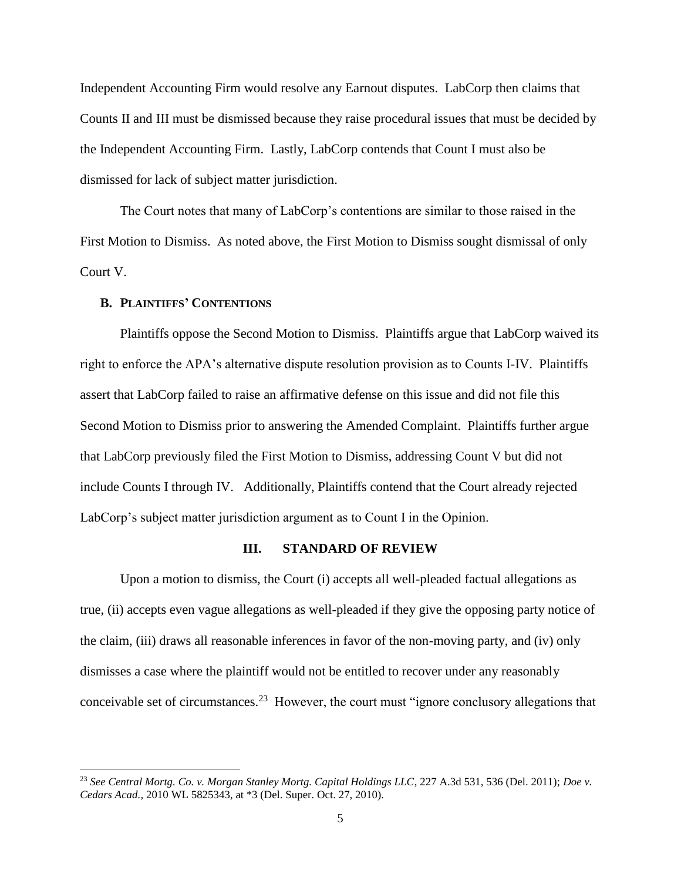Independent Accounting Firm would resolve any Earnout disputes. LabCorp then claims that Counts II and III must be dismissed because they raise procedural issues that must be decided by the Independent Accounting Firm. Lastly, LabCorp contends that Count I must also be dismissed for lack of subject matter jurisdiction.

The Court notes that many of LabCorp's contentions are similar to those raised in the First Motion to Dismiss. As noted above, the First Motion to Dismiss sought dismissal of only Court V.

### **B. PLAINTIFFS' CONTENTIONS**

 $\overline{a}$ 

Plaintiffs oppose the Second Motion to Dismiss. Plaintiffs argue that LabCorp waived its right to enforce the APA's alternative dispute resolution provision as to Counts I-IV. Plaintiffs assert that LabCorp failed to raise an affirmative defense on this issue and did not file this Second Motion to Dismiss prior to answering the Amended Complaint. Plaintiffs further argue that LabCorp previously filed the First Motion to Dismiss, addressing Count V but did not include Counts I through IV. Additionally, Plaintiffs contend that the Court already rejected LabCorp's subject matter jurisdiction argument as to Count I in the Opinion.

### **III. STANDARD OF REVIEW**

Upon a motion to dismiss, the Court (i) accepts all well-pleaded factual allegations as true, (ii) accepts even vague allegations as well-pleaded if they give the opposing party notice of the claim, (iii) draws all reasonable inferences in favor of the non-moving party, and (iv) only dismisses a case where the plaintiff would not be entitled to recover under any reasonably conceivable set of circumstances.<sup>23</sup> However, the court must "ignore conclusory allegations that

<sup>23</sup> *See Central Mortg. Co. v. Morgan Stanley Mortg. Capital Holdings LLC*, 227 A.3d 531, 536 (Del. 2011); *Doe v. Cedars Acad.,* 2010 WL 5825343, at \*3 (Del. Super. Oct. 27, 2010).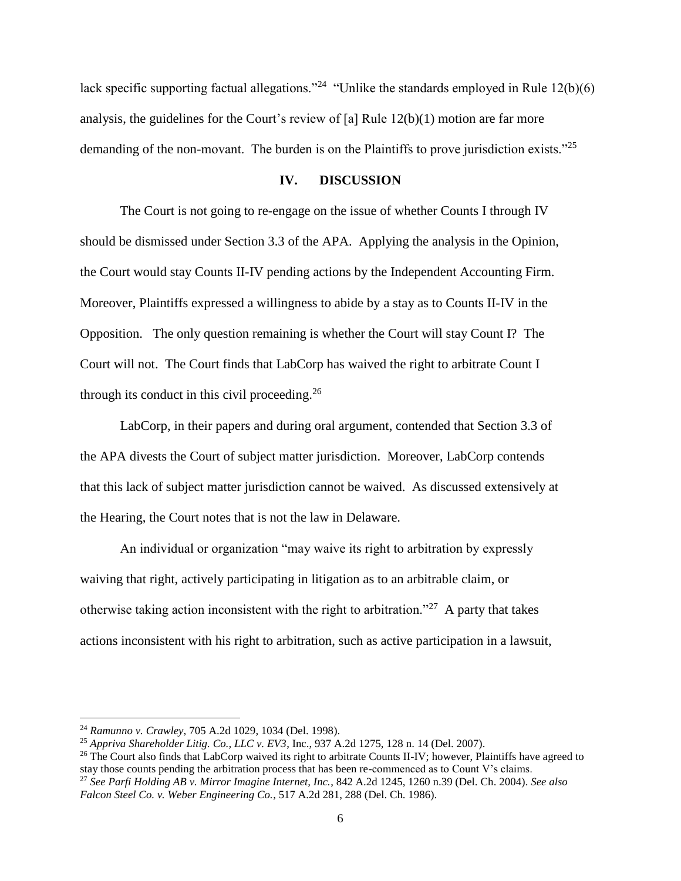lack specific supporting factual allegations."<sup>24</sup> "Unlike the standards employed in Rule  $12(b)(6)$ analysis, the guidelines for the Court's review of [a] Rule 12(b)(1) motion are far more demanding of the non-movant. The burden is on the Plaintiffs to prove jurisdiction exists."<sup>25</sup>

### **IV. DISCUSSION**

The Court is not going to re-engage on the issue of whether Counts I through IV should be dismissed under Section 3.3 of the APA. Applying the analysis in the Opinion, the Court would stay Counts II-IV pending actions by the Independent Accounting Firm. Moreover, Plaintiffs expressed a willingness to abide by a stay as to Counts II-IV in the Opposition. The only question remaining is whether the Court will stay Count I? The Court will not. The Court finds that LabCorp has waived the right to arbitrate Count I through its conduct in this civil proceeding.<sup>26</sup>

LabCorp, in their papers and during oral argument, contended that Section 3.3 of the APA divests the Court of subject matter jurisdiction. Moreover, LabCorp contends that this lack of subject matter jurisdiction cannot be waived. As discussed extensively at the Hearing, the Court notes that is not the law in Delaware.

An individual or organization "may waive its right to arbitration by expressly waiving that right, actively participating in litigation as to an arbitrable claim, or otherwise taking action inconsistent with the right to arbitration."<sup>27</sup> A party that takes actions inconsistent with his right to arbitration, such as active participation in a lawsuit,

 $\overline{a}$ 

<sup>24</sup> *Ramunno v. Crawley,* 705 A.2d 1029, 1034 (Del. 1998).

<sup>25</sup> *Appriva Shareholder Litig. Co., LLC v. EV3*, Inc., 937 A.2d 1275, 128 n. 14 (Del. 2007).

<sup>&</sup>lt;sup>26</sup> The Court also finds that LabCorp waived its right to arbitrate Counts II-IV; however, Plaintiffs have agreed to stay those counts pending the arbitration process that has been re-commenced as to Count V's claims.

<sup>27</sup> *See Parfi Holding AB v. Mirror Imagine Internet, Inc.*, 842 A.2d 1245, 1260 n.39 (Del. Ch. 2004). *See also Falcon Steel Co. v. Weber Engineering Co.*, 517 A.2d 281, 288 (Del. Ch. 1986).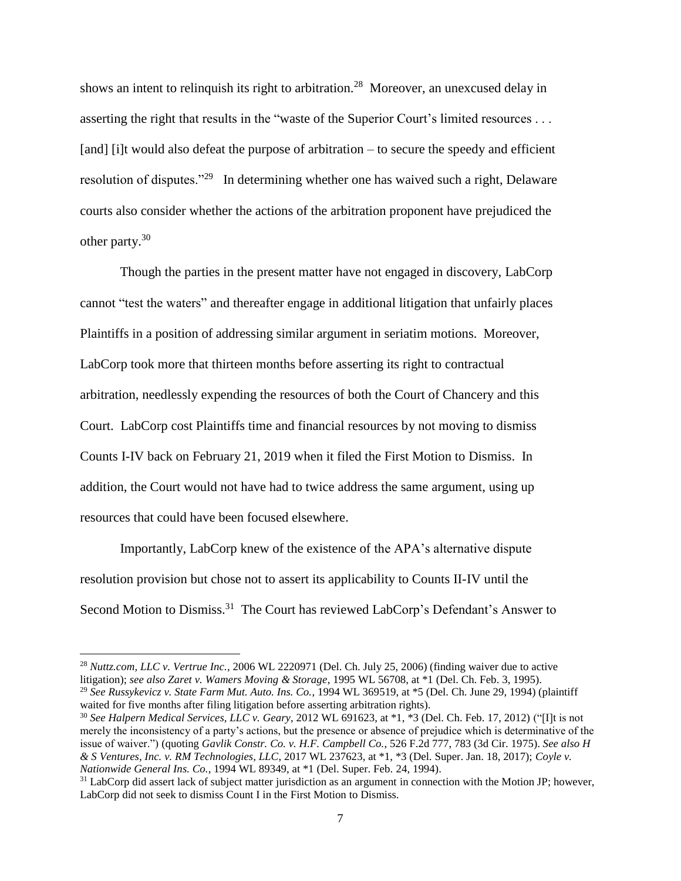shows an intent to relinquish its right to arbitration.<sup>28</sup> Moreover, an unexcused delay in asserting the right that results in the "waste of the Superior Court's limited resources . . . [and] [i]t would also defeat the purpose of arbitration – to secure the speedy and efficient resolution of disputes."<sup>29</sup> In determining whether one has waived such a right, Delaware courts also consider whether the actions of the arbitration proponent have prejudiced the other party. $30$ 

Though the parties in the present matter have not engaged in discovery, LabCorp cannot "test the waters" and thereafter engage in additional litigation that unfairly places Plaintiffs in a position of addressing similar argument in seriatim motions. Moreover, LabCorp took more that thirteen months before asserting its right to contractual arbitration, needlessly expending the resources of both the Court of Chancery and this Court. LabCorp cost Plaintiffs time and financial resources by not moving to dismiss Counts I-IV back on February 21, 2019 when it filed the First Motion to Dismiss. In addition, the Court would not have had to twice address the same argument, using up resources that could have been focused elsewhere.

Importantly, LabCorp knew of the existence of the APA's alternative dispute resolution provision but chose not to assert its applicability to Counts II-IV until the Second Motion to Dismiss.<sup>31</sup> The Court has reviewed LabCorp's Defendant's Answer to

 $\overline{a}$ 

<sup>30</sup> *See Halpern Medical Services, LLC v. Geary*, 2012 WL 691623, at \*1, \*3 (Del. Ch. Feb. 17, 2012) ("[I]t is not merely the inconsistency of a party's actions, but the presence or absence of prejudice which is determinative of the issue of waiver.") (quoting *Gavlik Constr. Co. v. H.F. Campbell Co.*, 526 F.2d 777, 783 (3d Cir. 1975). *See also H & S Ventures, Inc. v. RM Technologies, LLC*, 2017 WL 237623, at \*1, \*3 (Del. Super. Jan. 18, 2017); *Coyle v. Nationwide General Ins. Co.*, 1994 WL 89349, at \*1 (Del. Super. Feb. 24, 1994).

<sup>28</sup> *Nuttz.com, LLC v. Vertrue Inc.*, 2006 WL 2220971 (Del. Ch. July 25, 2006) (finding waiver due to active litigation); *see also Zaret v. Wamers Moving & Storage*, 1995 WL 56708, at \*1 (Del. Ch. Feb. 3, 1995). <sup>29</sup> *See Russykevicz v. State Farm Mut. Auto. Ins. Co.*, 1994 WL 369519, at \*5 (Del. Ch. June 29, 1994) (plaintiff waited for five months after filing litigation before asserting arbitration rights).

<sup>&</sup>lt;sup>31</sup> LabCorp did assert lack of subject matter jurisdiction as an argument in connection with the Motion JP; however, LabCorp did not seek to dismiss Count I in the First Motion to Dismiss.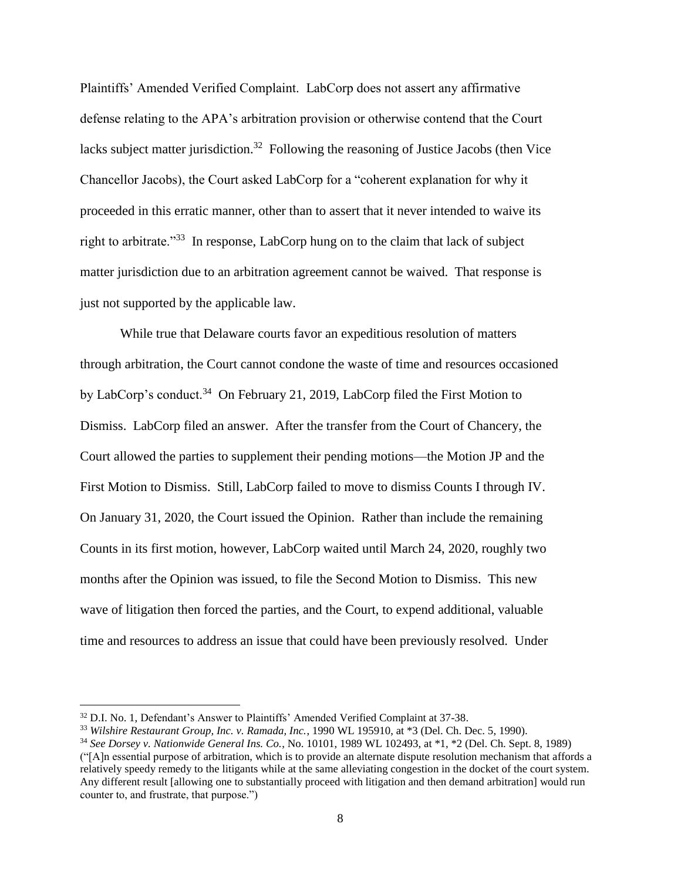Plaintiffs' Amended Verified Complaint. LabCorp does not assert any affirmative defense relating to the APA's arbitration provision or otherwise contend that the Court lacks subject matter jurisdiction.<sup>32</sup> Following the reasoning of Justice Jacobs (then Vice Chancellor Jacobs), the Court asked LabCorp for a "coherent explanation for why it proceeded in this erratic manner, other than to assert that it never intended to waive its right to arbitrate."<sup>33</sup> In response, LabCorp hung on to the claim that lack of subject matter jurisdiction due to an arbitration agreement cannot be waived. That response is just not supported by the applicable law.

While true that Delaware courts favor an expeditious resolution of matters through arbitration, the Court cannot condone the waste of time and resources occasioned by LabCorp's conduct.<sup>34</sup> On February 21, 2019, LabCorp filed the First Motion to Dismiss. LabCorp filed an answer. After the transfer from the Court of Chancery, the Court allowed the parties to supplement their pending motions—the Motion JP and the First Motion to Dismiss. Still, LabCorp failed to move to dismiss Counts I through IV. On January 31, 2020, the Court issued the Opinion. Rather than include the remaining Counts in its first motion, however, LabCorp waited until March 24, 2020, roughly two months after the Opinion was issued, to file the Second Motion to Dismiss. This new wave of litigation then forced the parties, and the Court, to expend additional, valuable time and resources to address an issue that could have been previously resolved. Under

 $\overline{a}$ 

<sup>&</sup>lt;sup>32</sup> D.I. No. 1, Defendant's Answer to Plaintiffs' Amended Verified Complaint at 37-38.

<sup>33</sup> *Wilshire Restaurant Group, Inc. v. Ramada, Inc.*, 1990 WL 195910, at \*3 (Del. Ch. Dec. 5, 1990).

<sup>34</sup> *See Dorsey v. Nationwide General Ins. Co.*, No. 10101, 1989 WL 102493, at \*1, \*2 (Del. Ch. Sept. 8, 1989) ("[A]n essential purpose of arbitration, which is to provide an alternate dispute resolution mechanism that affords a relatively speedy remedy to the litigants while at the same alleviating congestion in the docket of the court system. Any different result [allowing one to substantially proceed with litigation and then demand arbitration] would run counter to, and frustrate, that purpose.")